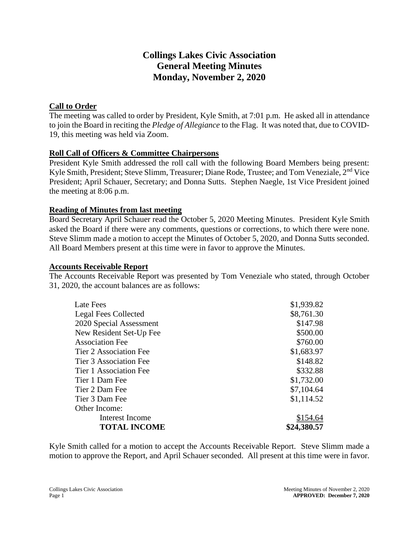# **Collings Lakes Civic Association General Meeting Minutes Monday, November 2, 2020**

# **Call to Order**

The meeting was called to order by President, Kyle Smith, at 7:01 p.m. He asked all in attendance to join the Board in reciting the *Pledge of Allegiance* to the Flag. It was noted that, due to COVID-19, this meeting was held via Zoom.

# **Roll Call of Officers & Committee Chairpersons**

President Kyle Smith addressed the roll call with the following Board Members being present: Kyle Smith, President; Steve Slimm, Treasurer; Diane Rode, Trustee; and Tom Veneziale, 2<sup>nd</sup> Vice President; April Schauer, Secretary; and Donna Sutts. Stephen Naegle, 1st Vice President joined the meeting at 8:06 p.m.

#### **Reading of Minutes from last meeting**

Board Secretary April Schauer read the October 5, 2020 Meeting Minutes. President Kyle Smith asked the Board if there were any comments, questions or corrections, to which there were none. Steve Slimm made a motion to accept the Minutes of October 5, 2020, and Donna Sutts seconded. All Board Members present at this time were in favor to approve the Minutes.

#### **Accounts Receivable Report**

The Accounts Receivable Report was presented by Tom Veneziale who stated, through October 31, 2020, the account balances are as follows:

| Late Fees                     | \$1,939.82  |
|-------------------------------|-------------|
| <b>Legal Fees Collected</b>   | \$8,761.30  |
| 2020 Special Assessment       | \$147.98    |
| New Resident Set-Up Fee       | \$500.00    |
| <b>Association Fee</b>        | \$760.00    |
| Tier 2 Association Fee        | \$1,683.97  |
| <b>Tier 3 Association Fee</b> | \$148.82    |
| Tier 1 Association Fee        | \$332.88    |
| Tier 1 Dam Fee                | \$1,732.00  |
| Tier 2 Dam Fee                | \$7,104.64  |
| Tier 3 Dam Fee                | \$1,114.52  |
| Other Income:                 |             |
| Interest Income               | \$154.64    |
| <b>TOTAL INCOME</b>           | \$24,380.57 |

Kyle Smith called for a motion to accept the Accounts Receivable Report. Steve Slimm made a motion to approve the Report, and April Schauer seconded. All present at this time were in favor.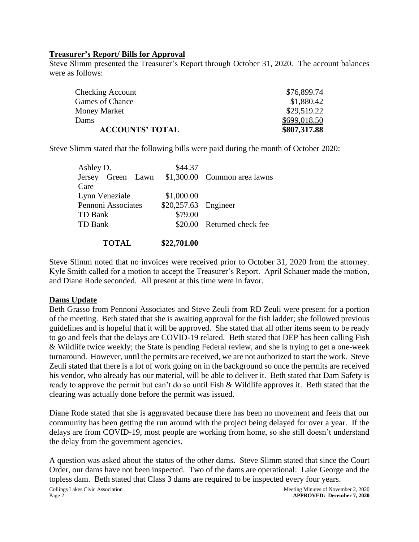#### **Treasurer's Report/ Bills for Approval**

Steve Slimm presented the Treasurer's Report through October 31, 2020. The account balances were as follows:

| \$807,317.88 |
|--------------|
| \$699,018.50 |
| \$29,519.22  |
| \$1,880.42   |
| \$76,899.74  |
|              |

Steve Slimm stated that the following bills were paid during the month of October 2020:

| Ashley D.          | \$44.37              |                                                |
|--------------------|----------------------|------------------------------------------------|
|                    |                      | Jersey Green Lawn \$1,300.00 Common area lawns |
| Care               |                      |                                                |
| Lynn Veneziale     | \$1,000.00           |                                                |
| Pennoni Associates | \$20,257.63 Engineer |                                                |
| TD Bank            | \$79.00              |                                                |
| <b>TD Bank</b>     |                      | \$20.00 Returned check fee                     |
|                    |                      |                                                |
| <b>TOTAL</b>       | \$22,701.00          |                                                |

Steve Slimm noted that no invoices were received prior to October 31, 2020 from the attorney. Kyle Smith called for a motion to accept the Treasurer's Report. April Schauer made the motion, and Diane Rode seconded. All present at this time were in favor.

#### **Dams Update**

Beth Grasso from Pennoni Associates and Steve Zeuli from RD Zeuli were present for a portion of the meeting. Beth stated that she is awaiting approval for the fish ladder; she followed previous guidelines and is hopeful that it will be approved. She stated that all other items seem to be ready to go and feels that the delays are COVID-19 related. Beth stated that DEP has been calling Fish & Wildlife twice weekly; the State is pending Federal review, and she is trying to get a one-week turnaround. However, until the permits are received, we are not authorized to start the work. Steve Zeuli stated that there is a lot of work going on in the background so once the permits are received his vendor, who already has our material, will be able to deliver it. Beth stated that Dam Safety is ready to approve the permit but can't do so until Fish & Wildlife approves it. Beth stated that the clearing was actually done before the permit was issued.

Diane Rode stated that she is aggravated because there has been no movement and feels that our community has been getting the run around with the project being delayed for over a year. If the delays are from COVID-19, most people are working from home, so she still doesn't understand the delay from the government agencies.

A question was asked about the status of the other dams. Steve Slimm stated that since the Court Order, our dams have not been inspected. Two of the dams are operational: Lake George and the topless dam. Beth stated that Class 3 dams are required to be inspected every four years.

Collings Lakes Civic Association and the Collings Lakes Civic Association Meeting Minutes of November 2, 2020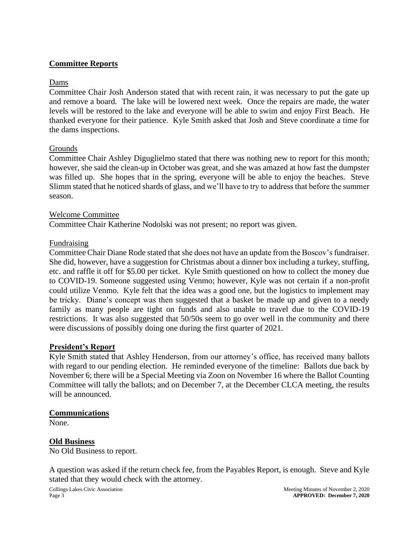# **Committee Reports**

### Dams

Committee Chair Josh Anderson stated that with recent rain, it was necessary to put the gate up and remove a board. The lake will be lowered next week. Once the repairs are made, the water levels will be restored to the lake and everyone will be able to swim and enjoy First Beach. He thanked everyone for their patience. Kyle Smith asked that Josh and Steve coordinate a time for the dams inspections.

#### Grounds

Committee Chair Ashley Diguglielmo stated that there was nothing new to report for this month; however, she said the clean-up in October was great, and she was amazed at how fast the dumpster was filled up. She hopes that in the spring, everyone will be able to enjoy the beaches. Steve Slimm stated that he noticed shards of glass, and we'll have to try to address that before the summer season.

#### Welcome Committee

Committee Chair Katherine Nodolski was not present; no report was given.

#### Fundraising

Committee Chair Diane Rode stated that she does not have an update from the Boscov's fundraiser. She did, however, have a suggestion for Christmas about a dinner box including a turkey, stuffing, etc. and raffle it off for \$5.00 per ticket. Kyle Smith questioned on how to collect the money due to COVID-19. Someone suggested using Venmo; however, Kyle was not certain if a non-profit could utilize Venmo. Kyle felt that the idea was a good one, but the logistics to implement may be tricky. Diane's concept was then suggested that a basket be made up and given to a needy family as many people are tight on funds and also unable to travel due to the COVID-19 restrictions. It was also suggested that 50/50s seem to go over well in the community and there were discussions of possibly doing one during the first quarter of 2021.

#### **President's Report**

Kyle Smith stated that Ashley Henderson, from our attorney's office, has received many ballots with regard to our pending election. He reminded everyone of the timeline: Ballots due back by November 6; there will be a Special Meeting via Zoon on November 16 where the Ballot Counting Committee will tally the ballots; and on December 7, at the December CLCA meeting, the results will be announced.

#### **Communications**

None.

#### **Old Business**

No Old Business to report.

A question was asked if the return check fee, from the Payables Report, is enough. Steve and Kyle stated that they would check with the attorney.

Collings Lakes Civic Association and the Collings Lakes Civic Association Meeting Minutes of November 2, 2020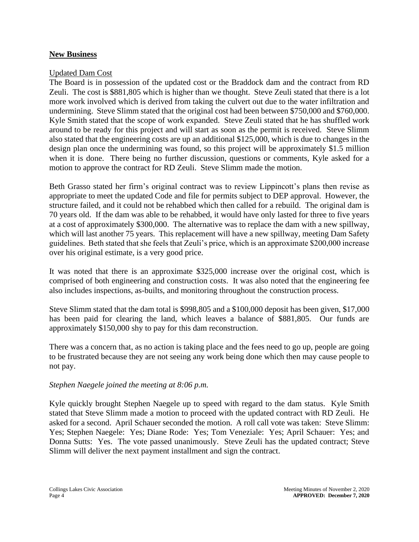#### **New Business**

#### Updated Dam Cost

The Board is in possession of the updated cost or the Braddock dam and the contract from RD Zeuli. The cost is \$881,805 which is higher than we thought. Steve Zeuli stated that there is a lot more work involved which is derived from taking the culvert out due to the water infiltration and undermining. Steve Slimm stated that the original cost had been between \$750,000 and \$760,000. Kyle Smith stated that the scope of work expanded. Steve Zeuli stated that he has shuffled work around to be ready for this project and will start as soon as the permit is received. Steve Slimm also stated that the engineering costs are up an additional \$125,000, which is due to changes in the design plan once the undermining was found, so this project will be approximately \$1.5 million when it is done. There being no further discussion, questions or comments, Kyle asked for a motion to approve the contract for RD Zeuli. Steve Slimm made the motion.

Beth Grasso stated her firm's original contract was to review Lippincott's plans then revise as appropriate to meet the updated Code and file for permits subject to DEP approval. However, the structure failed, and it could not be rehabbed which then called for a rebuild. The original dam is 70 years old. If the dam was able to be rehabbed, it would have only lasted for three to five years at a cost of approximately \$300,000. The alternative was to replace the dam with a new spillway, which will last another 75 years. This replacement will have a new spillway, meeting Dam Safety guidelines. Beth stated that she feels that Zeuli's price, which is an approximate \$200,000 increase over his original estimate, is a very good price.

It was noted that there is an approximate \$325,000 increase over the original cost, which is comprised of both engineering and construction costs. It was also noted that the engineering fee also includes inspections, as-builts, and monitoring throughout the construction process.

Steve Slimm stated that the dam total is \$998,805 and a \$100,000 deposit has been given, \$17,000 has been paid for clearing the land, which leaves a balance of \$881,805. Our funds are approximately \$150,000 shy to pay for this dam reconstruction.

There was a concern that, as no action is taking place and the fees need to go up, people are going to be frustrated because they are not seeing any work being done which then may cause people to not pay.

#### *Stephen Naegele joined the meeting at 8:06 p.m.*

Kyle quickly brought Stephen Naegele up to speed with regard to the dam status. Kyle Smith stated that Steve Slimm made a motion to proceed with the updated contract with RD Zeuli. He asked for a second. April Schauer seconded the motion. A roll call vote was taken: Steve Slimm: Yes; Stephen Naegele: Yes; Diane Rode: Yes; Tom Veneziale: Yes; April Schauer: Yes; and Donna Sutts: Yes. The vote passed unanimously. Steve Zeuli has the updated contract; Steve Slimm will deliver the next payment installment and sign the contract.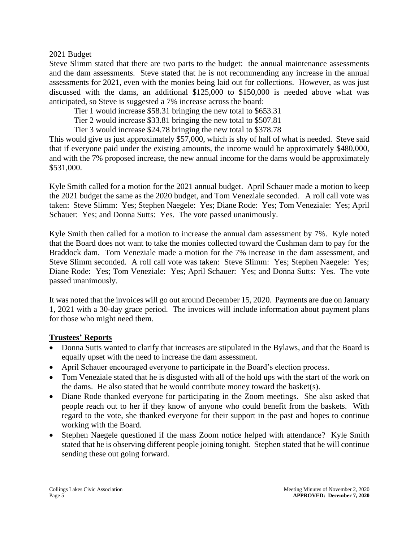#### 2021 Budget

Steve Slimm stated that there are two parts to the budget: the annual maintenance assessments and the dam assessments. Steve stated that he is not recommending any increase in the annual assessments for 2021, even with the monies being laid out for collections. However, as was just discussed with the dams, an additional \$125,000 to \$150,000 is needed above what was anticipated, so Steve is suggested a 7% increase across the board:

Tier 1 would increase \$58.31 bringing the new total to \$653.31

Tier 2 would increase \$33.81 bringing the new total to \$507.81

Tier 3 would increase \$24.78 bringing the new total to \$378.78

This would give us just approximately \$57,000, which is shy of half of what is needed. Steve said that if everyone paid under the existing amounts, the income would be approximately \$480,000, and with the 7% proposed increase, the new annual income for the dams would be approximately \$531,000.

Kyle Smith called for a motion for the 2021 annual budget. April Schauer made a motion to keep the 2021 budget the same as the 2020 budget, and Tom Veneziale seconded. A roll call vote was taken: Steve Slimm: Yes; Stephen Naegele: Yes; Diane Rode: Yes; Tom Veneziale: Yes; April Schauer: Yes; and Donna Sutts: Yes. The vote passed unanimously.

Kyle Smith then called for a motion to increase the annual dam assessment by 7%. Kyle noted that the Board does not want to take the monies collected toward the Cushman dam to pay for the Braddock dam. Tom Veneziale made a motion for the 7% increase in the dam assessment, and Steve Slimm seconded. A roll call vote was taken: Steve Slimm: Yes; Stephen Naegele: Yes; Diane Rode: Yes; Tom Veneziale: Yes; April Schauer: Yes; and Donna Sutts: Yes. The vote passed unanimously.

It was noted that the invoices will go out around December 15, 2020. Payments are due on January 1, 2021 with a 30-day grace period. The invoices will include information about payment plans for those who might need them.

#### **Trustees' Reports**

- Donna Sutts wanted to clarify that increases are stipulated in the Bylaws, and that the Board is equally upset with the need to increase the dam assessment.
- April Schauer encouraged everyone to participate in the Board's election process.
- Tom Veneziale stated that he is disgusted with all of the hold ups with the start of the work on the dams. He also stated that he would contribute money toward the basket(s).
- Diane Rode thanked everyone for participating in the Zoom meetings. She also asked that people reach out to her if they know of anyone who could benefit from the baskets. With regard to the vote, she thanked everyone for their support in the past and hopes to continue working with the Board.
- Stephen Naegele questioned if the mass Zoom notice helped with attendance? Kyle Smith stated that he is observing different people joining tonight. Stephen stated that he will continue sending these out going forward.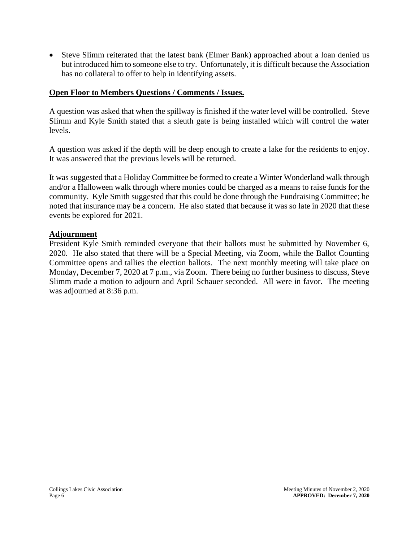• Steve Slimm reiterated that the latest bank (Elmer Bank) approached about a loan denied us but introduced him to someone else to try. Unfortunately, it is difficult because the Association has no collateral to offer to help in identifying assets.

# **Open Floor to Members Questions / Comments / Issues.**

A question was asked that when the spillway is finished if the water level will be controlled. Steve Slimm and Kyle Smith stated that a sleuth gate is being installed which will control the water levels.

A question was asked if the depth will be deep enough to create a lake for the residents to enjoy. It was answered that the previous levels will be returned.

It was suggested that a Holiday Committee be formed to create a Winter Wonderland walk through and/or a Halloween walk through where monies could be charged as a means to raise funds for the community. Kyle Smith suggested that this could be done through the Fundraising Committee; he noted that insurance may be a concern. He also stated that because it was so late in 2020 that these events be explored for 2021.

#### **Adjournment**

President Kyle Smith reminded everyone that their ballots must be submitted by November 6, 2020. He also stated that there will be a Special Meeting, via Zoom, while the Ballot Counting Committee opens and tallies the election ballots. The next monthly meeting will take place on Monday, December 7, 2020 at 7 p.m., via Zoom. There being no further business to discuss, Steve Slimm made a motion to adjourn and April Schauer seconded. All were in favor. The meeting was adjourned at 8:36 p.m.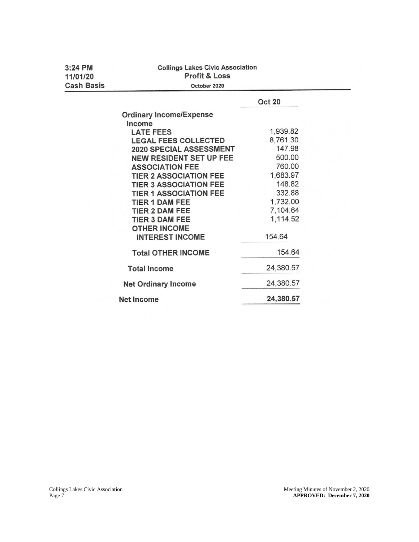| $3:24$ PM<br>11/01/20 | <b>Collings Lakes Civic Association</b><br><b>Profit &amp; Loss</b> |               |  |
|-----------------------|---------------------------------------------------------------------|---------------|--|
| <b>Cash Basis</b>     | October 2020                                                        |               |  |
|                       |                                                                     | <b>Oct 20</b> |  |
|                       | <b>Ordinary Income/Expense</b>                                      |               |  |
|                       | Income                                                              |               |  |
|                       | <b>LATE FEES</b>                                                    | 1,939.82      |  |
|                       | <b>LEGAL FEES COLLECTED</b>                                         | 8,761.30      |  |
|                       | 2020 SPECIAL ASSESSMENT                                             | 147.98        |  |
|                       | <b>NEW RESIDENT SET UP FEE</b>                                      | 500.00        |  |
|                       | <b>ASSOCIATION FEE</b>                                              | 760.00        |  |
|                       | <b>TIER 2 ASSOCIATION FEE</b>                                       | 1,683.97      |  |
|                       | <b>TIER 3 ASSOCIATION FEE</b>                                       | 148.82        |  |
|                       | <b>TIER 1 ASSOCIATION FEE</b>                                       | 332.88        |  |
|                       | <b>TIER 1 DAM FEE</b>                                               | 1,732.00      |  |
|                       | <b>TIER 2 DAM FEE</b>                                               | 7,104.64      |  |
|                       | <b>TIER 3 DAM FEE</b>                                               | 1,114.52      |  |
|                       | <b>OTHER INCOME</b>                                                 |               |  |
|                       | <b>INTEREST INCOME</b>                                              | 154.64        |  |
|                       | <b>Total OTHER INCOME</b>                                           | 154.64        |  |
|                       | <b>Total Income</b>                                                 | 24,380.57     |  |
|                       | <b>Net Ordinary Income</b>                                          | 24,380.57     |  |
|                       | <b>Net Income</b>                                                   | 24,380.57     |  |